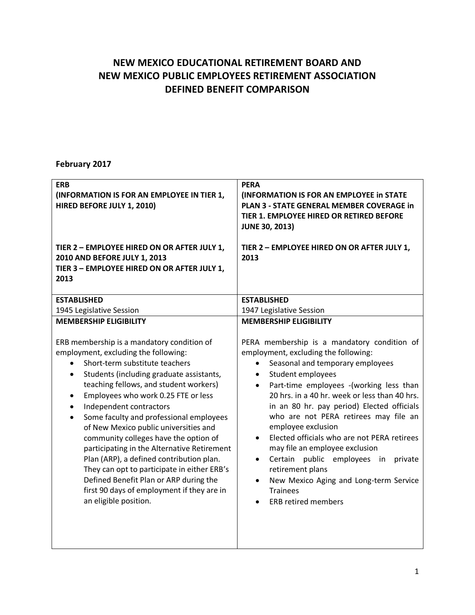## **NEW MEXICO EDUCATIONAL RETIREMENT BOARD AND NEW MEXICO PUBLIC EMPLOYEES RETIREMENT ASSOCIATION DEFINED BENEFIT COMPARISON**

## **February 2017**

| <b>ERB</b><br>(INFORMATION IS FOR AN EMPLOYEE IN TIER 1,<br>HIRED BEFORE JULY 1, 2010)<br>TIER 2 - EMPLOYEE HIRED ON OR AFTER JULY 1,<br>2010 AND BEFORE JULY 1, 2013<br>TIER 3 - EMPLOYEE HIRED ON OR AFTER JULY 1,<br>2013                                                                                                                                                                                                                                                                                                                                                                                                                                                                                             | <b>PERA</b><br>(INFORMATION IS FOR AN EMPLOYEE in STATE<br>PLAN 3 - STATE GENERAL MEMBER COVERAGE in<br>TIER 1. EMPLOYEE HIRED OR RETIRED BEFORE<br><b>JUNE 30, 2013)</b><br>TIER 2 - EMPLOYEE HIRED ON OR AFTER JULY 1,<br>2013                                                                                                                                                                                                                                                                                                                                                                                                             |
|--------------------------------------------------------------------------------------------------------------------------------------------------------------------------------------------------------------------------------------------------------------------------------------------------------------------------------------------------------------------------------------------------------------------------------------------------------------------------------------------------------------------------------------------------------------------------------------------------------------------------------------------------------------------------------------------------------------------------|----------------------------------------------------------------------------------------------------------------------------------------------------------------------------------------------------------------------------------------------------------------------------------------------------------------------------------------------------------------------------------------------------------------------------------------------------------------------------------------------------------------------------------------------------------------------------------------------------------------------------------------------|
| <b>ESTABLISHED</b>                                                                                                                                                                                                                                                                                                                                                                                                                                                                                                                                                                                                                                                                                                       | <b>ESTABLISHED</b>                                                                                                                                                                                                                                                                                                                                                                                                                                                                                                                                                                                                                           |
| 1945 Legislative Session                                                                                                                                                                                                                                                                                                                                                                                                                                                                                                                                                                                                                                                                                                 | 1947 Legislative Session                                                                                                                                                                                                                                                                                                                                                                                                                                                                                                                                                                                                                     |
| <b>MEMBERSHIP ELIGIBILITY</b>                                                                                                                                                                                                                                                                                                                                                                                                                                                                                                                                                                                                                                                                                            | <b>MEMBERSHIP ELIGIBILITY</b>                                                                                                                                                                                                                                                                                                                                                                                                                                                                                                                                                                                                                |
| ERB membership is a mandatory condition of<br>employment, excluding the following:<br>Short-term substitute teachers<br>$\bullet$<br>Students (including graduate assistants,<br>$\bullet$<br>teaching fellows, and student workers)<br>Employees who work 0.25 FTE or less<br>$\bullet$<br>Independent contractors<br>Some faculty and professional employees<br>$\bullet$<br>of New Mexico public universities and<br>community colleges have the option of<br>participating in the Alternative Retirement<br>Plan (ARP), a defined contribution plan.<br>They can opt to participate in either ERB's<br>Defined Benefit Plan or ARP during the<br>first 90 days of employment if they are in<br>an eligible position. | PERA membership is a mandatory condition of<br>employment, excluding the following:<br>Seasonal and temporary employees<br>$\bullet$<br>Student employees<br>Part-time employees -(working less than<br>20 hrs. in a 40 hr. week or less than 40 hrs.<br>in an 80 hr. pay period) Elected officials<br>who are not PERA retirees may file an<br>employee exclusion<br>Elected officials who are not PERA retirees<br>may file an employee exclusion<br>Certain public<br>employees<br>private<br>in<br>$\bullet$<br>retirement plans<br>New Mexico Aging and Long-term Service<br>$\bullet$<br><b>Trainees</b><br><b>ERB retired members</b> |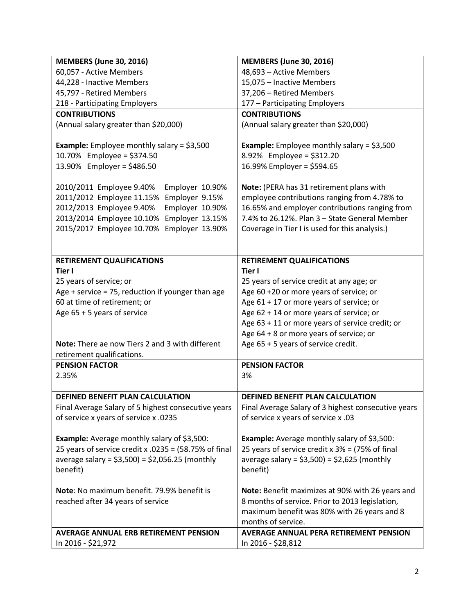| <b>MEMBERS (June 30, 2016)</b>                                    | <b>MEMBERS (June 30, 2016)</b>                      |
|-------------------------------------------------------------------|-----------------------------------------------------|
| 60,057 - Active Members                                           | 48,693 - Active Members                             |
| 44,228 - Inactive Members                                         | 15,075 - Inactive Members                           |
| 45,797 - Retired Members                                          | 37,206 - Retired Members                            |
| 218 - Participating Employers                                     | 177 - Participating Employers                       |
| <b>CONTRIBUTIONS</b>                                              | <b>CONTRIBUTIONS</b>                                |
| (Annual salary greater than \$20,000)                             | (Annual salary greater than \$20,000)               |
| <b>Example:</b> Employee monthly salary = $$3,500$                | <b>Example:</b> Employee monthly salary = $$3,500$  |
| 10.70% Employee = \$374.50                                        | 8.92% Employee = \$312.20                           |
| 13.90% Employer = \$486.50                                        | 16.99% Employer = \$594.65                          |
| 2010/2011 Employee 9.40%<br>Employer 10.90%                       | Note: (PERA has 31 retirement plans with            |
| 2011/2012 Employee 11.15%<br>Employer 9.15%                       | employee contributions ranging from 4.78% to        |
| 2012/2013 Employee 9.40%<br>Employer 10.90%                       | 16.65% and employer contributions ranging from      |
| 2013/2014 Employee 10.10%<br>Employer 13.15%                      | 7.4% to 26.12%. Plan 3 - State General Member       |
| 2015/2017 Employee 10.70%<br>Employer 13.90%                      | Coverage in Tier I is used for this analysis.)      |
|                                                                   |                                                     |
|                                                                   |                                                     |
| RETIREMENT QUALIFICATIONS                                         | <b>RETIREMENT QUALIFICATIONS</b>                    |
| Tier I                                                            | Tier I                                              |
| 25 years of service; or                                           | 25 years of service credit at any age; or           |
| Age + service = 75, reduction if younger than age                 | Age 60 +20 or more years of service; or             |
| 60 at time of retirement; or                                      | Age 61 + 17 or more years of service; or            |
| Age 65 + 5 years of service                                       | Age $62 + 14$ or more years of service; or          |
|                                                                   | Age 63 + 11 or more years of service credit; or     |
|                                                                   | Age 64 + 8 or more years of service; or             |
| Note: There ae now Tiers 2 and 3 with different                   | Age 65 + 5 years of service credit.                 |
| retirement qualifications.                                        |                                                     |
| <b>PENSION FACTOR</b>                                             | <b>PENSION FACTOR</b>                               |
| 2.35%                                                             | 3%                                                  |
|                                                                   |                                                     |
| DEFINED BENEFIT PLAN CALCULATION                                  | DEFINED BENEFIT PLAN CALCULATION                    |
| Final Average Salary of 5 highest consecutive years               | Final Average Salary of 3 highest consecutive years |
| of service x years of service x .0235                             | of service x years of service x .03                 |
| <b>Example:</b> Average monthly salary of \$3,500:                | <b>Example:</b> Average monthly salary of \$3,500:  |
| 25 years of service credit x .0235 = $(58.75\% \text{ of final})$ | 25 years of service credit $x$ 3% = (75% of final   |
| average salary = $$3,500$ ) = $$2,056.25$ (monthly                | average salary = $$3,500$ ) = $$2,625$ (monthly     |
| benefit)                                                          | benefit)                                            |
|                                                                   |                                                     |
| Note: No maximum benefit. 79.9% benefit is                        | Note: Benefit maximizes at 90% with 26 years and    |
| reached after 34 years of service                                 | 8 months of service. Prior to 2013 legislation,     |
|                                                                   | maximum benefit was 80% with 26 years and 8         |
|                                                                   | months of service.                                  |
| <b>AVERAGE ANNUAL ERB RETIREMENT PENSION</b>                      | <b>AVERAGE ANNUAL PERA RETIREMENT PENSION</b>       |
| In 2016 - \$21,972                                                | In 2016 - \$28,812                                  |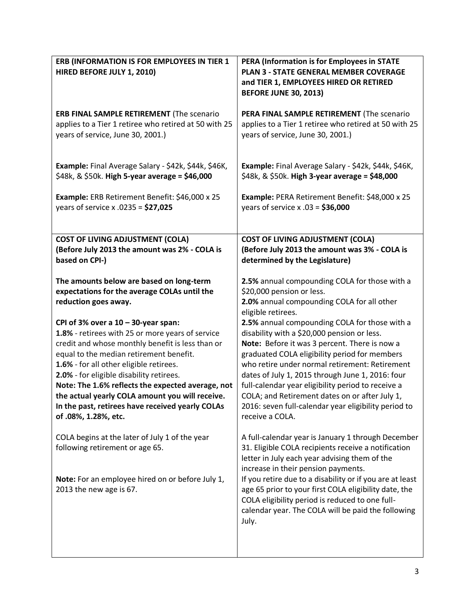| ERB (INFORMATION IS FOR EMPLOYEES IN TIER 1<br>HIRED BEFORE JULY 1, 2010)                              | PERA (Information is for Employees in STATE<br><b>PLAN 3 - STATE GENERAL MEMBER COVERAGE</b><br>and TIER 1, EMPLOYEES HIRED OR RETIRED |
|--------------------------------------------------------------------------------------------------------|----------------------------------------------------------------------------------------------------------------------------------------|
|                                                                                                        | <b>BEFORE JUNE 30, 2013)</b>                                                                                                           |
| ERB FINAL SAMPLE RETIREMENT (The scenario                                                              | PERA FINAL SAMPLE RETIREMENT (The scenario                                                                                             |
| applies to a Tier 1 retiree who retired at 50 with 25<br>years of service, June 30, 2001.)             | applies to a Tier 1 retiree who retired at 50 with 25<br>years of service, June 30, 2001.)                                             |
| Example: Final Average Salary - \$42k, \$44k, \$46K,<br>\$48k, & \$50k. High 5-year average = \$46,000 | Example: Final Average Salary - \$42k, \$44k, \$46K,<br>\$48k, & \$50k. High 3-year average = \$48,000                                 |
| Example: ERB Retirement Benefit: \$46,000 x 25<br>years of service x .0235 = $$27,025$                 | Example: PERA Retirement Benefit: \$48,000 x 25<br>years of service x .03 = $$36,000$                                                  |
| <b>COST OF LIVING ADJUSTMENT (COLA)</b>                                                                | <b>COST OF LIVING ADJUSTMENT (COLA)</b>                                                                                                |
| (Before July 2013 the amount was 2% - COLA is<br>based on CPI-)                                        | (Before July 2013 the amount was 3% - COLA is<br>determined by the Legislature)                                                        |
| The amounts below are based on long-term                                                               | 2.5% annual compounding COLA for those with a                                                                                          |
| expectations for the average COLAs until the                                                           | \$20,000 pension or less.                                                                                                              |
| reduction goes away.                                                                                   | 2.0% annual compounding COLA for all other<br>eligible retirees.                                                                       |
| CPI of 3% over a $10 - 30$ -year span:                                                                 | 2.5% annual compounding COLA for those with a                                                                                          |
| 1.8% - retirees with 25 or more years of service                                                       | disability with a \$20,000 pension or less.                                                                                            |
| credit and whose monthly benefit is less than or                                                       | Note: Before it was 3 percent. There is now a                                                                                          |
| equal to the median retirement benefit.                                                                | graduated COLA eligibility period for members                                                                                          |
| 1.6% - for all other eligible retirees.                                                                | who retire under normal retirement: Retirement                                                                                         |
| 2.0% - for eligible disability retirees.                                                               | dates of July 1, 2015 through June 1, 2016: four                                                                                       |
| Note: The 1.6% reflects the expected average, not                                                      | full-calendar year eligibility period to receive a                                                                                     |
| the actual yearly COLA amount you will receive.                                                        | COLA; and Retirement dates on or after July 1,                                                                                         |
| In the past, retirees have received yearly COLAs<br>of .08%, 1.28%, etc.                               | 2016: seven full-calendar year eligibility period to<br>receive a COLA.                                                                |
| COLA begins at the later of July 1 of the year                                                         | A full-calendar year is January 1 through December                                                                                     |
| following retirement or age 65.                                                                        | 31. Eligible COLA recipients receive a notification                                                                                    |
|                                                                                                        | letter in July each year advising them of the                                                                                          |
|                                                                                                        | increase in their pension payments.                                                                                                    |
| Note: For an employee hired on or before July 1,<br>2013 the new age is 67.                            | If you retire due to a disability or if you are at least<br>age 65 prior to your first COLA eligibility date, the                      |
|                                                                                                        | COLA eligibility period is reduced to one full-                                                                                        |
|                                                                                                        | calendar year. The COLA will be paid the following<br>July.                                                                            |
|                                                                                                        |                                                                                                                                        |
|                                                                                                        |                                                                                                                                        |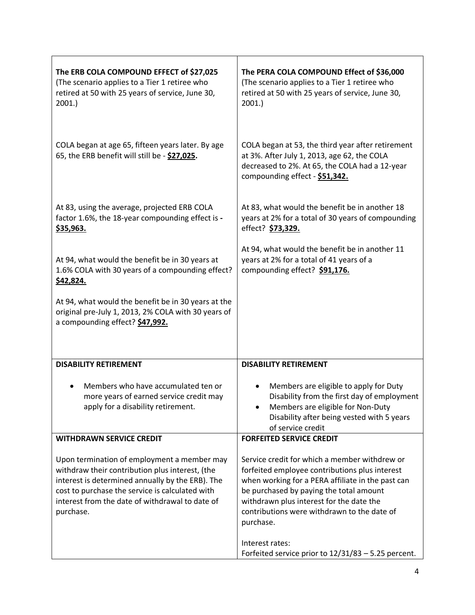| The ERB COLA COMPOUND EFFECT of \$27,025<br>(The scenario applies to a Tier 1 retiree who<br>retired at 50 with 25 years of service, June 30,<br>2001.                                                                                                                | The PERA COLA COMPOUND Effect of \$36,000<br>(The scenario applies to a Tier 1 retiree who<br>retired at 50 with 25 years of service, June 30,<br>2001.                                                                                                                                                 |
|-----------------------------------------------------------------------------------------------------------------------------------------------------------------------------------------------------------------------------------------------------------------------|---------------------------------------------------------------------------------------------------------------------------------------------------------------------------------------------------------------------------------------------------------------------------------------------------------|
| COLA began at age 65, fifteen years later. By age<br>65, the ERB benefit will still be - \$27,025.                                                                                                                                                                    | COLA began at 53, the third year after retirement<br>at 3%. After July 1, 2013, age 62, the COLA<br>decreased to 2%. At 65, the COLA had a 12-year<br>compounding effect - \$51,342.                                                                                                                    |
| At 83, using the average, projected ERB COLA<br>factor 1.6%, the 18-year compounding effect is -<br>\$35,963.                                                                                                                                                         | At 83, what would the benefit be in another 18<br>years at 2% for a total of 30 years of compounding<br>effect? \$73,329.                                                                                                                                                                               |
| At 94, what would the benefit be in 30 years at<br>1.6% COLA with 30 years of a compounding effect?<br>\$42,824.                                                                                                                                                      | At 94, what would the benefit be in another 11<br>years at 2% for a total of 41 years of a<br>compounding effect? \$91,176.                                                                                                                                                                             |
| At 94, what would the benefit be in 30 years at the<br>original pre-July 1, 2013, 2% COLA with 30 years of<br>a compounding effect? \$47,992.                                                                                                                         |                                                                                                                                                                                                                                                                                                         |
| <b>DISABILITY RETIREMENT</b>                                                                                                                                                                                                                                          | <b>DISABILITY RETIREMENT</b>                                                                                                                                                                                                                                                                            |
| Members who have accumulated ten or<br>more years of earned service credit may<br>apply for a disability retirement.                                                                                                                                                  | Members are eligible to apply for Duty<br>Disability from the first day of employment<br>Members are eligible for Non-Duty<br>Disability after being vested with 5 years<br>of service credit                                                                                                           |
| <b>WITHDRAWN SERVICE CREDIT</b>                                                                                                                                                                                                                                       | <b>FORFEITED SERVICE CREDIT</b>                                                                                                                                                                                                                                                                         |
| Upon termination of employment a member may<br>withdraw their contribution plus interest, (the<br>interest is determined annually by the ERB). The<br>cost to purchase the service is calculated with<br>interest from the date of withdrawal to date of<br>purchase. | Service credit for which a member withdrew or<br>forfeited employee contributions plus interest<br>when working for a PERA affiliate in the past can<br>be purchased by paying the total amount<br>withdrawn plus interest for the date the<br>contributions were withdrawn to the date of<br>purchase. |
|                                                                                                                                                                                                                                                                       | Interest rates:<br>Forfeited service prior to 12/31/83 - 5.25 percent.                                                                                                                                                                                                                                  |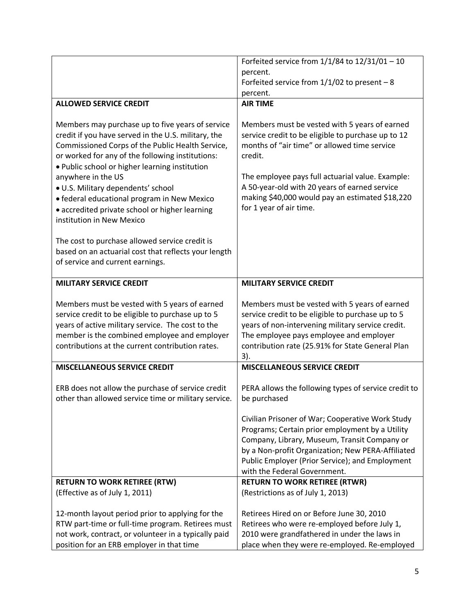|                                                                                                                                                                                                                                                                                                                                                                                                                                                                                                                                                                                                           | Forfeited service from $1/1/84$ to $12/31/01 - 10$                                                                                                                                                                                                                                                                                                |
|-----------------------------------------------------------------------------------------------------------------------------------------------------------------------------------------------------------------------------------------------------------------------------------------------------------------------------------------------------------------------------------------------------------------------------------------------------------------------------------------------------------------------------------------------------------------------------------------------------------|---------------------------------------------------------------------------------------------------------------------------------------------------------------------------------------------------------------------------------------------------------------------------------------------------------------------------------------------------|
|                                                                                                                                                                                                                                                                                                                                                                                                                                                                                                                                                                                                           | percent.                                                                                                                                                                                                                                                                                                                                          |
|                                                                                                                                                                                                                                                                                                                                                                                                                                                                                                                                                                                                           | Forfeited service from $1/1/02$ to present - 8                                                                                                                                                                                                                                                                                                    |
|                                                                                                                                                                                                                                                                                                                                                                                                                                                                                                                                                                                                           | percent.                                                                                                                                                                                                                                                                                                                                          |
| <b>ALLOWED SERVICE CREDIT</b>                                                                                                                                                                                                                                                                                                                                                                                                                                                                                                                                                                             | <b>AIR TIME</b>                                                                                                                                                                                                                                                                                                                                   |
| Members may purchase up to five years of service<br>credit if you have served in the U.S. military, the<br>Commissioned Corps of the Public Health Service,<br>or worked for any of the following institutions:<br>. Public school or higher learning institution<br>anywhere in the US<br>· U.S. Military dependents' school<br>· federal educational program in New Mexico<br>• accredited private school or higher learning<br>institution in New Mexico<br>The cost to purchase allowed service credit is<br>based on an actuarial cost that reflects your length<br>of service and current earnings. | Members must be vested with 5 years of earned<br>service credit to be eligible to purchase up to 12<br>months of "air time" or allowed time service<br>credit.<br>The employee pays full actuarial value. Example:<br>A 50-year-old with 20 years of earned service<br>making \$40,000 would pay an estimated \$18,220<br>for 1 year of air time. |
| <b>MILITARY SERVICE CREDIT</b>                                                                                                                                                                                                                                                                                                                                                                                                                                                                                                                                                                            | <b>MILITARY SERVICE CREDIT</b>                                                                                                                                                                                                                                                                                                                    |
| Members must be vested with 5 years of earned<br>service credit to be eligible to purchase up to 5<br>years of active military service. The cost to the<br>member is the combined employee and employer<br>contributions at the current contribution rates.                                                                                                                                                                                                                                                                                                                                               | Members must be vested with 5 years of earned<br>service credit to be eligible to purchase up to 5<br>years of non-intervening military service credit.<br>The employee pays employee and employer<br>contribution rate (25.91% for State General Plan<br>$3$ ).                                                                                  |
| <b>MISCELLANEOUS SERVICE CREDIT</b>                                                                                                                                                                                                                                                                                                                                                                                                                                                                                                                                                                       | <b>MISCELLANEOUS SERVICE CREDIT</b>                                                                                                                                                                                                                                                                                                               |
| ERB does not allow the purchase of service credit<br>other than allowed service time or military service.                                                                                                                                                                                                                                                                                                                                                                                                                                                                                                 | PERA allows the following types of service credit to<br>be purchased                                                                                                                                                                                                                                                                              |
|                                                                                                                                                                                                                                                                                                                                                                                                                                                                                                                                                                                                           | Civilian Prisoner of War; Cooperative Work Study<br>Programs; Certain prior employment by a Utility<br>Company, Library, Museum, Transit Company or<br>by a Non-profit Organization; New PERA-Affiliated<br>Public Employer (Prior Service); and Employment<br>with the Federal Government.                                                       |
| <b>RETURN TO WORK RETIREE (RTW)</b>                                                                                                                                                                                                                                                                                                                                                                                                                                                                                                                                                                       | <b>RETURN TO WORK RETIREE (RTWR)</b>                                                                                                                                                                                                                                                                                                              |
| (Effective as of July 1, 2011)                                                                                                                                                                                                                                                                                                                                                                                                                                                                                                                                                                            | (Restrictions as of July 1, 2013)                                                                                                                                                                                                                                                                                                                 |
| 12-month layout period prior to applying for the<br>RTW part-time or full-time program. Retirees must<br>not work, contract, or volunteer in a typically paid                                                                                                                                                                                                                                                                                                                                                                                                                                             | Retirees Hired on or Before June 30, 2010<br>Retirees who were re-employed before July 1,<br>2010 were grandfathered in under the laws in                                                                                                                                                                                                         |
| position for an ERB employer in that time                                                                                                                                                                                                                                                                                                                                                                                                                                                                                                                                                                 | place when they were re-employed. Re-employed                                                                                                                                                                                                                                                                                                     |